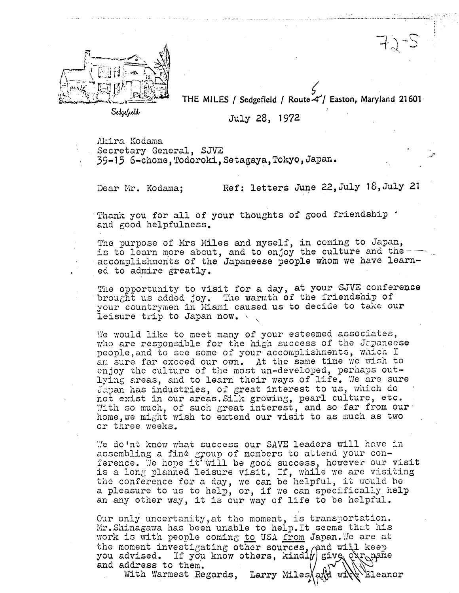

THE MILES / Sedgefield / Route  $4$  / Easton, Maryland 21601

Sedgefuld

July 28, 1972

Akira Kodama

Secretary General, SJVE

39-15 6-chome, Todoroki, Setagaya, Tokyo, Japan.

Dear Mr. Kodama;

Ref: letters June 22, July 18, July 21

 $1\,c\zeta$ 

Thank you for all of your thoughts of good friendship . and good helpfulness.

The purpose of Mrs Miles and myself, in coming to Japan, is to learn more about, and to enjoy the culture and the accomplishments of the Japaneese people whom we have learned to admire greatly.

The opportunity to visit for a day, at your SJVE conference brought us added joy. The warmth of the friendship of your countrymen in Miami caused us to decide to take our leisure trip to Japan now.

We would like to meet many of your esteemed associates, who are responsible for the high success of the Japaneese people, and to see some of your accomplishments, which I am sure far exceed our own. At the same time we wish to enjoy the culture of the most un-developed, perhaps outlying areas, and to learn their ways of life. We are sure Japan has industries, of great interest to us, which do not exist in our areas. Silk growing, pearl culture, etc. With so much, of such great interest, and so far from our home, we might wish to extend our visit to as much as two or three weeks.

We do'nt know what success our SAVE leaders will have in assembling a fine group of members to attend your conference. We hope it will be good success, however our visit is a long planned leisure visit. If, while we are visiting the conference for a day, we can be helpful, it would be a pleasure to us to help, or, if we can specifically help an any other way, it is our way of life to be helpful.

Our only uncertanity, at the moment, is transportation. Mr.Shinagawa has been unable to help.It seems that his work is with people coming to USA from Japan. We are at the moment investigating other sources, and will keep you advised. If you know others, kindly sive Qur pame and address to them. Larry Miles at Wiles Press With Warmest Regards,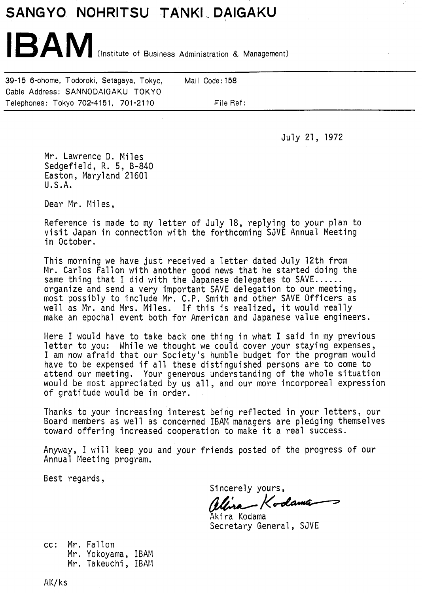## SANGYO NOHRITSU TANKI DAIGAKU

IBAM (Institute of Business Administration & Management)

39-15 6-chome, Todoroki, Setagaya, Tokyo, Mail Code: 158 Cable Address: SANNODAIGAKU TOKYO Telephones: Tokyo 702-4151, 701-2110 File Ref:

July 21, 1972

Mr. Lawrence D. Miles Sedgefield, R. 5, 8-840 Easton, Maryland 21601 U.S.A.

Dear Mr. Miles,

Reference is made to my letter of July 18, replying to your plan to visit Japan in connection with the forthcoming SJVE Annual Meeting in October.

This morning we have just received a letter dated July 12th from Mr. Carlos Fallon with another good news that he started doing the same thing that I did with the Japanese delegates to SAVE...... organize and send a very important SAVE delegation to our meeting, most possibly to include Mr. C.P. Smith and other SAVE Officers as well as Mr. and Mrs. Miles. If this is realized, it would really make an epochal event both for American and Japanese value engineers.

Here I would have to take back one thing in what I said in my previous letter to you: While we thought we could cover your staying expenses, I am now afraid that our Society's humble budget for the program would have to be expensed if all these distinguished persons are to come to attend our meeting. Your generous understanding of the whole situation would be most appreciated by us all, and our more incorporeal expression of gratitude would be in order.

Thanks to your increasing interest being reflected in your letters, our Board members as well as concerned IBAM managers are pledging themselves<br>toward offering increased cooperation to make it a real success.

Anyway, I will keep you and your friends posted of the progress of our Annual Meeting program.

Best regards,

Sincerely yours,<br>**Allina – Kod**<br>Akira Kodama

Secretary General, SJVE

cc: Mr. Fallon Mr. Yokoyama, IBAM Mr. Takeuchi, IBAM

AK/ks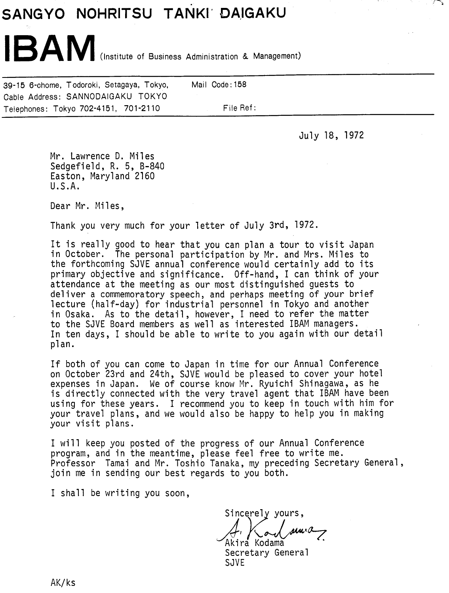## **SANGYO NOHRITSU**

IBAM (Institute of Business Administration & Management)

39-15 6-chome, Todoroki, Setagaya, Tokyo, Mail Code: 158 Cable Address: SANNODAIGAKU TOKYO Telephones: Tokyo 702-4151, 701-2110 File Ref:

July 18, 1972

Mr. Lawrence D. Miles Sedgefield, R. 5, B-840 Easton, Maryland 2160 U.S.A.

Dear Mr. Miles,

Thank you very much for your letter of July 3rd, 1972.

It is really good to hear that you can plan a tour to visit Japan in October. The personal participation by Mr. and Mrs. Miles to the forthcoming SJVE annual conference would certainly add to its primary objective and significance. Off-hand, I can think of your attendance at the meeting as our most distinguished guests to del iver a commemoratory speech, and perhaps meeting of your brief lecture (half-day) for industrial personnel in Tokyo and another in Osaka. As to the detail, however, I need to refer the matter to the SJVE Board members as well as interested IBAM managers. In ten days, I should be able to write to you again with our detail plan.

If both of you can come to Japan in time for our Annual Conference on October 23rd and 24th, SJVE would be pleased to cover your hotel expenses in Japan. We of course know Mr. Ryuichi Shinagawa, as he is directly connected with the very travel agent that IBAM have been using for these years. I recommend you to keep in touch with him for your travel plans, and we would also be happy to help you in making your visit plans.

I will keep you posted of the progress of our Annual Conference program, and in the meantime, please feel free to write me. Professor Tamai and Mr. Toshio Tanaka, my preceding Secretary General , join me in sending our best regards to you both.

I shall be writing you soon,

Sincerely yours, Mn·a  $\sigma$ Akira Kodama

Secretary General SJVE

AK/ks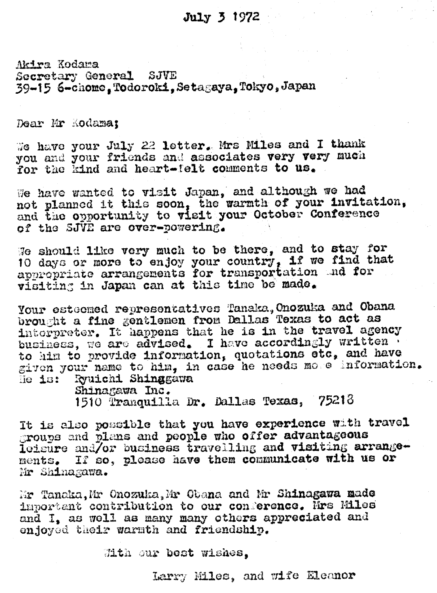## July 3 1972

Akira Kodama Secretary General SJVE 39-15 6-chome. Todoroki. Setagaya. Tokyo, Japan

Dear Mr Kodama;

We have your July 22 letter. Mrs Miles and I thank you and your friends and associates very very much for the kind and heart-felt comments to us.

We have wanted to visit Japan, and although we had not planned it this soon. the warmth of your invitation, and the opportunity to visit your October Conference of the SJVE are over-powering.

We should like very much to be there, and to stay for<br>10 days or more to enjoy your country, if we find that appropriate arrangements for transportation and for visiting in Japan can at this time be made.

Your esteemed representatives Tanaka, Onozuka and Obana brought a fine gentlemen from Dallas Texas to act as interpreter. It happens that he is in the travel agency business, we are advised. I have accordingly written to him to provide information, quotations etc, and have given your name to him, in case he needs more information. le is: Ryuichi Shinagawa

Shinagawa Inc. 1510 Tranquilla Dr. Dallas Texas, 75218

It is also possible that you have experience with travel groups and plans and people who offer advantageous leisure and/or business travelling and visiting arrangements. If so, please have them communicate with us or Mr Shinagawa.

Mr Tanaka, Mr Onozuka, Mr Obana and Mr Shinagawa made important contribution to our conference. Mrs Miles and I, as well as many many others appreciated and enjoyed their warmth and friendship.

With our best wishes.

Larry Miles, and wife Eleanor